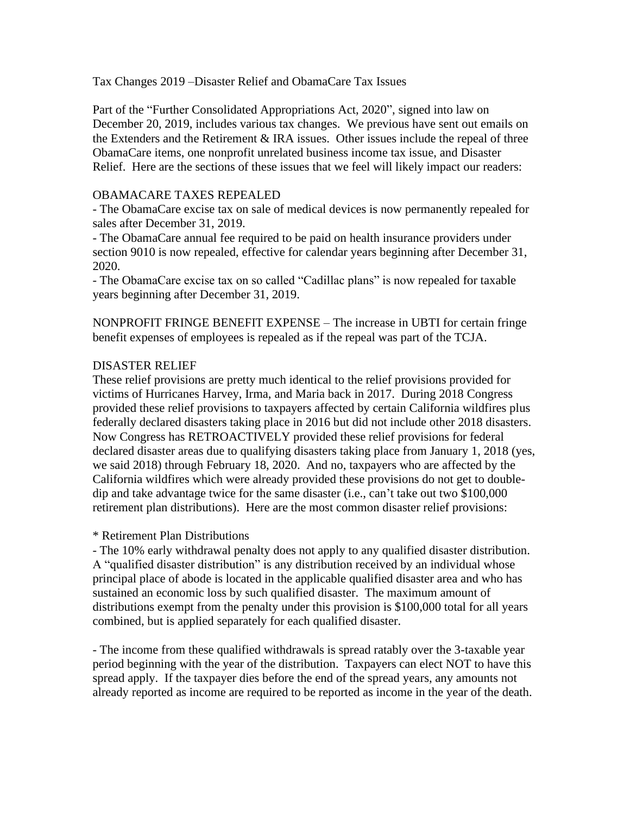Tax Changes 2019 –Disaster Relief and ObamaCare Tax Issues

Part of the "Further Consolidated Appropriations Act, 2020", signed into law on December 20, 2019, includes various tax changes. We previous have sent out emails on the Extenders and the Retirement & IRA issues. Other issues include the repeal of three ObamaCare items, one nonprofit unrelated business income tax issue, and Disaster Relief. Here are the sections of these issues that we feel will likely impact our readers:

## OBAMACARE TAXES REPEALED

- The ObamaCare excise tax on sale of medical devices is now permanently repealed for sales after December 31, 2019.

- The ObamaCare annual fee required to be paid on health insurance providers under section 9010 is now repealed, effective for calendar years beginning after December 31, 2020.

- The ObamaCare excise tax on so called "Cadillac plans" is now repealed for taxable years beginning after December 31, 2019.

NONPROFIT FRINGE BENEFIT EXPENSE – The increase in UBTI for certain fringe benefit expenses of employees is repealed as if the repeal was part of the TCJA.

# DISASTER RELIEF

These relief provisions are pretty much identical to the relief provisions provided for victims of Hurricanes Harvey, Irma, and Maria back in 2017. During 2018 Congress provided these relief provisions to taxpayers affected by certain California wildfires plus federally declared disasters taking place in 2016 but did not include other 2018 disasters. Now Congress has RETROACTIVELY provided these relief provisions for federal declared disaster areas due to qualifying disasters taking place from January 1, 2018 (yes, we said 2018) through February 18, 2020. And no, taxpayers who are affected by the California wildfires which were already provided these provisions do not get to doubledip and take advantage twice for the same disaster (i.e., can't take out two \$100,000 retirement plan distributions). Here are the most common disaster relief provisions:

\* Retirement Plan Distributions

- The 10% early withdrawal penalty does not apply to any qualified disaster distribution. A "qualified disaster distribution" is any distribution received by an individual whose principal place of abode is located in the applicable qualified disaster area and who has sustained an economic loss by such qualified disaster. The maximum amount of distributions exempt from the penalty under this provision is \$100,000 total for all years combined, but is applied separately for each qualified disaster.

- The income from these qualified withdrawals is spread ratably over the 3-taxable year period beginning with the year of the distribution. Taxpayers can elect NOT to have this spread apply. If the taxpayer dies before the end of the spread years, any amounts not already reported as income are required to be reported as income in the year of the death.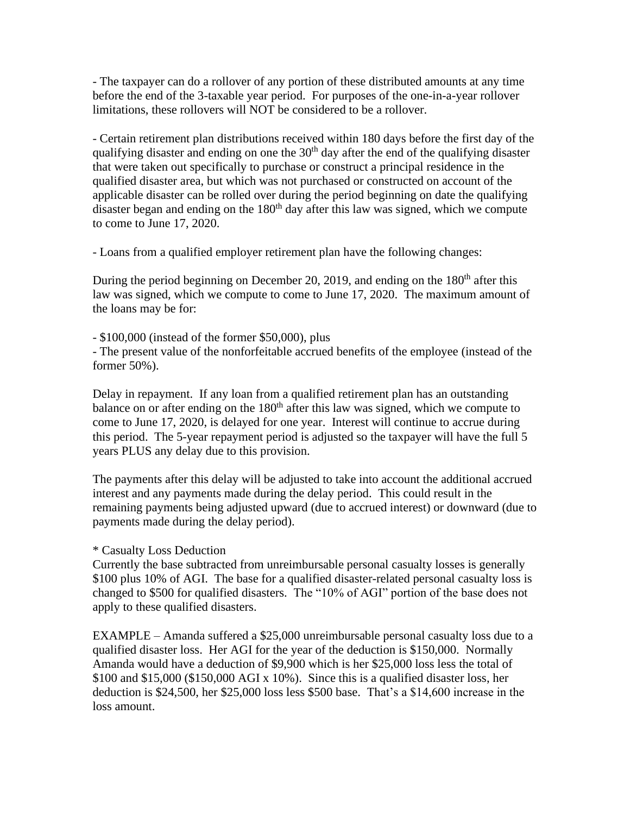- The taxpayer can do a rollover of any portion of these distributed amounts at any time before the end of the 3-taxable year period. For purposes of the one-in-a-year rollover limitations, these rollovers will NOT be considered to be a rollover.

- Certain retirement plan distributions received within 180 days before the first day of the qualifying disaster and ending on one the  $30<sup>th</sup>$  day after the end of the qualifying disaster that were taken out specifically to purchase or construct a principal residence in the qualified disaster area, but which was not purchased or constructed on account of the applicable disaster can be rolled over during the period beginning on date the qualifying disaster began and ending on the  $180<sup>th</sup>$  day after this law was signed, which we compute to come to June 17, 2020.

- Loans from a qualified employer retirement plan have the following changes:

During the period beginning on December 20, 2019, and ending on the  $180<sup>th</sup>$  after this law was signed, which we compute to come to June 17, 2020. The maximum amount of the loans may be for:

- \$100,000 (instead of the former \$50,000), plus

- The present value of the nonforfeitable accrued benefits of the employee (instead of the former 50%).

Delay in repayment. If any loan from a qualified retirement plan has an outstanding balance on or after ending on the  $180<sup>th</sup>$  after this law was signed, which we compute to come to June 17, 2020, is delayed for one year. Interest will continue to accrue during this period. The 5-year repayment period is adjusted so the taxpayer will have the full 5 years PLUS any delay due to this provision.

The payments after this delay will be adjusted to take into account the additional accrued interest and any payments made during the delay period. This could result in the remaining payments being adjusted upward (due to accrued interest) or downward (due to payments made during the delay period).

# \* Casualty Loss Deduction

Currently the base subtracted from unreimbursable personal casualty losses is generally \$100 plus 10% of AGI. The base for a qualified disaster-related personal casualty loss is changed to \$500 for qualified disasters. The "10% of AGI" portion of the base does not apply to these qualified disasters.

EXAMPLE – Amanda suffered a \$25,000 unreimbursable personal casualty loss due to a qualified disaster loss. Her AGI for the year of the deduction is \$150,000. Normally Amanda would have a deduction of \$9,900 which is her \$25,000 loss less the total of \$100 and \$15,000 (\$150,000 AGI x 10%). Since this is a qualified disaster loss, her deduction is \$24,500, her \$25,000 loss less \$500 base. That's a \$14,600 increase in the loss amount.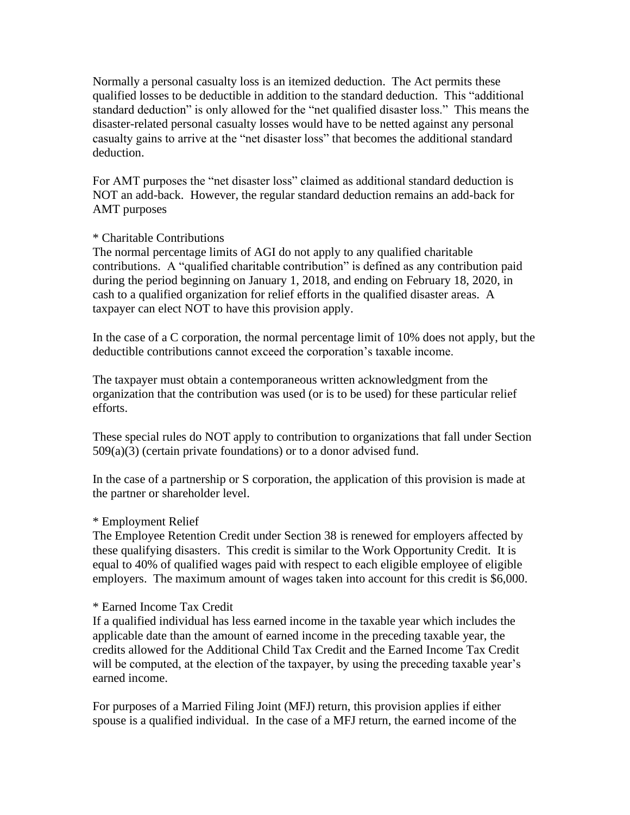Normally a personal casualty loss is an itemized deduction. The Act permits these qualified losses to be deductible in addition to the standard deduction. This "additional standard deduction" is only allowed for the "net qualified disaster loss." This means the disaster-related personal casualty losses would have to be netted against any personal casualty gains to arrive at the "net disaster loss" that becomes the additional standard deduction.

For AMT purposes the "net disaster loss" claimed as additional standard deduction is NOT an add-back. However, the regular standard deduction remains an add-back for AMT purposes

# \* Charitable Contributions

The normal percentage limits of AGI do not apply to any qualified charitable contributions. A "qualified charitable contribution" is defined as any contribution paid during the period beginning on January 1, 2018, and ending on February 18, 2020, in cash to a qualified organization for relief efforts in the qualified disaster areas. A taxpayer can elect NOT to have this provision apply.

In the case of a C corporation, the normal percentage limit of 10% does not apply, but the deductible contributions cannot exceed the corporation's taxable income.

The taxpayer must obtain a contemporaneous written acknowledgment from the organization that the contribution was used (or is to be used) for these particular relief efforts.

These special rules do NOT apply to contribution to organizations that fall under Section  $509(a)(3)$  (certain private foundations) or to a donor advised fund.

In the case of a partnership or S corporation, the application of this provision is made at the partner or shareholder level.

# \* Employment Relief

The Employee Retention Credit under Section 38 is renewed for employers affected by these qualifying disasters. This credit is similar to the Work Opportunity Credit. It is equal to 40% of qualified wages paid with respect to each eligible employee of eligible employers. The maximum amount of wages taken into account for this credit is \$6,000.

# \* Earned Income Tax Credit

If a qualified individual has less earned income in the taxable year which includes the applicable date than the amount of earned income in the preceding taxable year, the credits allowed for the Additional Child Tax Credit and the Earned Income Tax Credit will be computed, at the election of the taxpayer, by using the preceding taxable year's earned income.

For purposes of a Married Filing Joint (MFJ) return, this provision applies if either spouse is a qualified individual. In the case of a MFJ return, the earned income of the